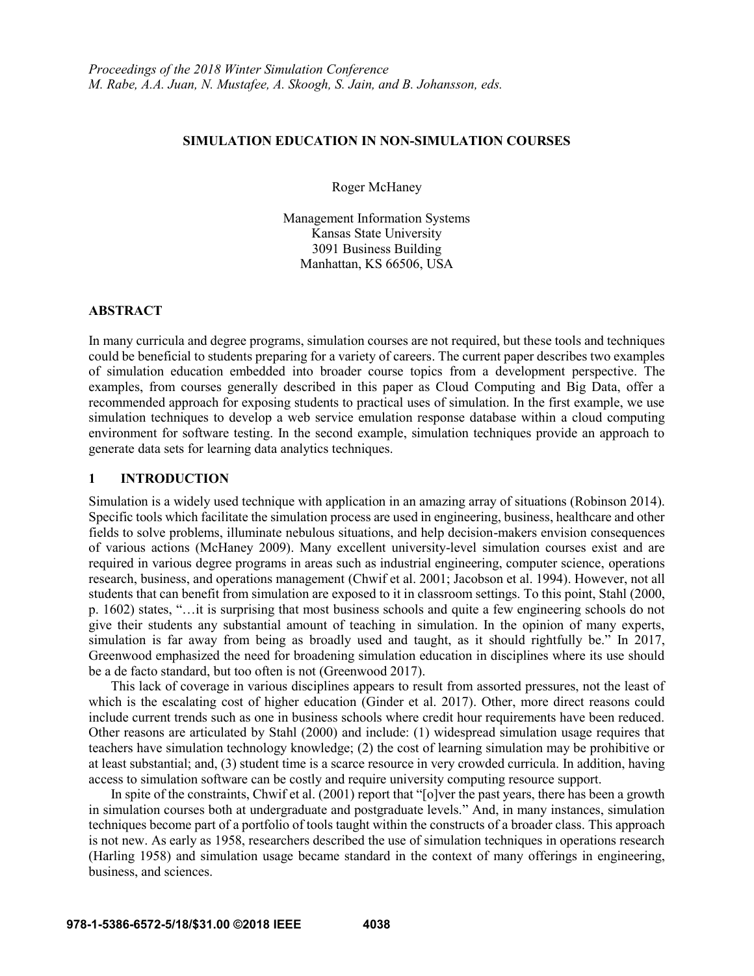#### **SIMULATION EDUCATION IN NON-SIMULATION COURSES**

Roger McHaney

Management Information Systems Kansas State University 3091 Business Building Manhattan, KS 66506, USA

### **ABSTRACT**

In many curricula and degree programs, simulation courses are not required, but these tools and techniques could be beneficial to students preparing for a variety of careers. The current paper describes two examples of simulation education embedded into broader course topics from a development perspective. The examples, from courses generally described in this paper as Cloud Computing and Big Data, offer a recommended approach for exposing students to practical uses of simulation. In the first example, we use simulation techniques to develop a web service emulation response database within a cloud computing environment for software testing. In the second example, simulation techniques provide an approach to generate data sets for learning data analytics techniques.

### **1 INTRODUCTION**

Simulation is a widely used technique with application in an amazing array of situations (Robinson 2014). Specific tools which facilitate the simulation process are used in engineering, business, healthcare and other fields to solve problems, illuminate nebulous situations, and help decision-makers envision consequences of various actions (McHaney 2009). Many excellent university-level simulation courses exist and are required in various degree programs in areas such as industrial engineering, computer science, operations research, business, and operations management (Chwif et al. 2001; Jacobson et al. 1994). However, not all students that can benefit from simulation are exposed to it in classroom settings. To this point, Stahl (2000, p. 1602) states, "…it is surprising that most business schools and quite a few engineering schools do not give their students any substantial amount of teaching in simulation. In the opinion of many experts, simulation is far away from being as broadly used and taught, as it should rightfully be." In 2017, Greenwood emphasized the need for broadening simulation education in disciplines where its use should be a de facto standard, but too often is not (Greenwood 2017).

This lack of coverage in various disciplines appears to result from assorted pressures, not the least of which is the escalating cost of higher education (Ginder et al. 2017). Other, more direct reasons could include current trends such as one in business schools where credit hour requirements have been reduced. Other reasons are articulated by Stahl (2000) and include: (1) widespread simulation usage requires that teachers have simulation technology knowledge; (2) the cost of learning simulation may be prohibitive or at least substantial; and, (3) student time is a scarce resource in very crowded curricula. In addition, having access to simulation software can be costly and require university computing resource support.

In spite of the constraints, Chwif et al. (2001) report that "[o]ver the past years, there has been a growth in simulation courses both at undergraduate and postgraduate levels." And, in many instances, simulation techniques become part of a portfolio of tools taught within the constructs of a broader class. This approach is not new. As early as 1958, researchers described the use of simulation techniques in operations research (Harling 1958) and simulation usage became standard in the context of many offerings in engineering, business, and sciences.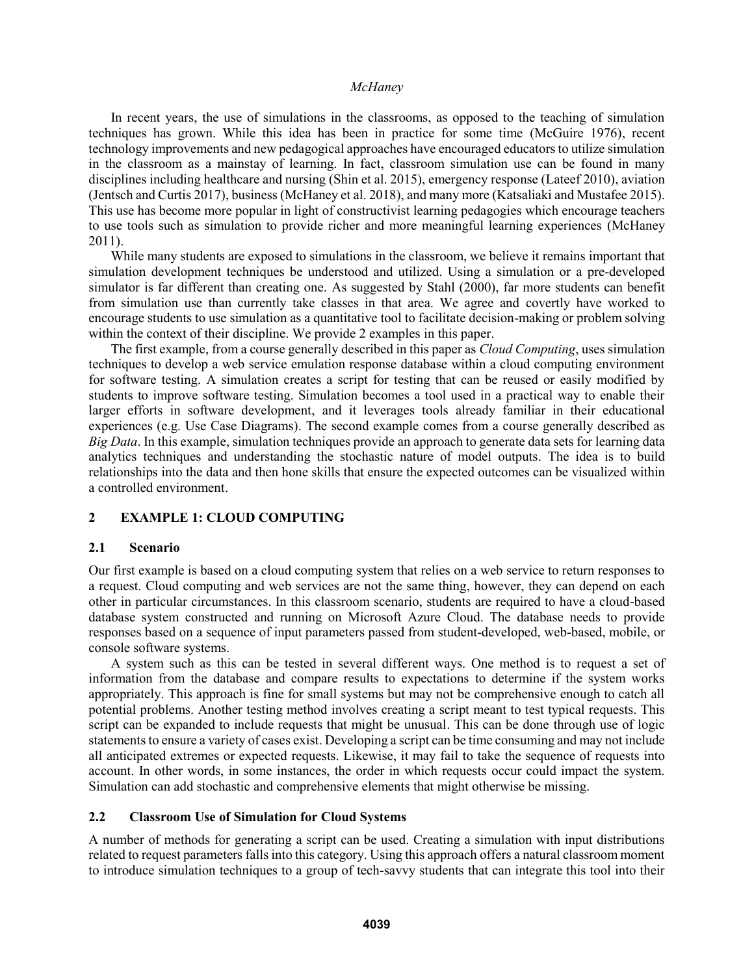In recent years, the use of simulations in the classrooms, as opposed to the teaching of simulation techniques has grown. While this idea has been in practice for some time (McGuire 1976), recent technology improvements and new pedagogical approaches have encouraged educators to utilize simulation in the classroom as a mainstay of learning. In fact, classroom simulation use can be found in many disciplines including healthcare and nursing (Shin et al. 2015), emergency response (Lateef 2010), aviation (Jentsch and Curtis 2017), business (McHaney et al. 2018), and many more (Katsaliaki and Mustafee 2015). This use has become more popular in light of constructivist learning pedagogies which encourage teachers to use tools such as simulation to provide richer and more meaningful learning experiences (McHaney 2011).

While many students are exposed to simulations in the classroom, we believe it remains important that simulation development techniques be understood and utilized. Using a simulation or a pre-developed simulator is far different than creating one. As suggested by Stahl (2000), far more students can benefit from simulation use than currently take classes in that area. We agree and covertly have worked to encourage students to use simulation as a quantitative tool to facilitate decision-making or problem solving within the context of their discipline. We provide 2 examples in this paper.

The first example, from a course generally described in this paper as *Cloud Computing*, uses simulation techniques to develop a web service emulation response database within a cloud computing environment for software testing. A simulation creates a script for testing that can be reused or easily modified by students to improve software testing. Simulation becomes a tool used in a practical way to enable their larger efforts in software development, and it leverages tools already familiar in their educational experiences (e.g. Use Case Diagrams). The second example comes from a course generally described as *Big Data*. In this example, simulation techniques provide an approach to generate data sets for learning data analytics techniques and understanding the stochastic nature of model outputs. The idea is to build relationships into the data and then hone skills that ensure the expected outcomes can be visualized within a controlled environment.

# **2 EXAMPLE 1: CLOUD COMPUTING**

### **2.1 Scenario**

Our first example is based on a cloud computing system that relies on a web service to return responses to a request. Cloud computing and web services are not the same thing, however, they can depend on each other in particular circumstances. In this classroom scenario, students are required to have a cloud-based database system constructed and running on Microsoft Azure Cloud. The database needs to provide responses based on a sequence of input parameters passed from student-developed, web-based, mobile, or console software systems.

A system such as this can be tested in several different ways. One method is to request a set of information from the database and compare results to expectations to determine if the system works appropriately. This approach is fine for small systems but may not be comprehensive enough to catch all potential problems. Another testing method involves creating a script meant to test typical requests. This script can be expanded to include requests that might be unusual. This can be done through use of logic statements to ensure a variety of cases exist. Developing a script can be time consuming and may not include all anticipated extremes or expected requests. Likewise, it may fail to take the sequence of requests into account. In other words, in some instances, the order in which requests occur could impact the system. Simulation can add stochastic and comprehensive elements that might otherwise be missing.

## **2.2 Classroom Use of Simulation for Cloud Systems**

A number of methods for generating a script can be used. Creating a simulation with input distributions related to request parameters falls into this category. Using this approach offers a natural classroom moment to introduce simulation techniques to a group of tech-savvy students that can integrate this tool into their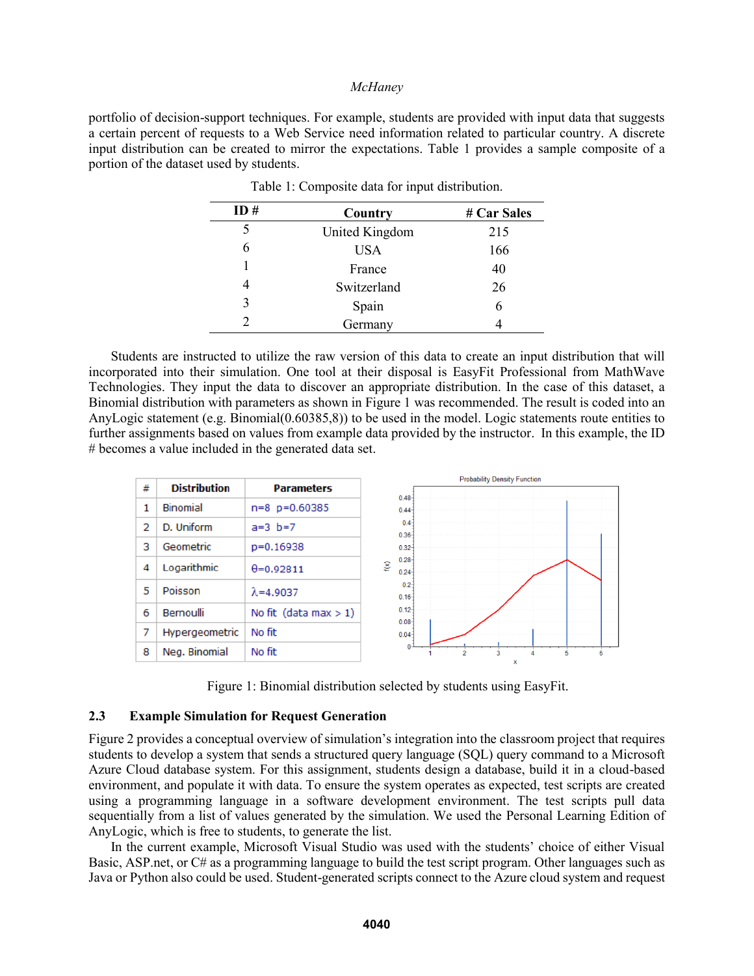portfolio of decision-support techniques. For example, students are provided with input data that suggests a certain percent of requests to a Web Service need information related to particular country. A discrete input distribution can be created to mirror the expectations. Table 1 provides a sample composite of a portion of the dataset used by students.

| ID# | Country        | # Car Sales |  |
|-----|----------------|-------------|--|
| 5   | United Kingdom | 215         |  |
| 6   | <b>USA</b>     | 166         |  |
|     | France         | 40          |  |
|     | Switzerland    | 26          |  |
| 3   | Spain          | 6           |  |
|     | Germany        |             |  |

|  |  | Table 1: Composite data for input distribution. |
|--|--|-------------------------------------------------|
|  |  |                                                 |

Students are instructed to utilize the raw version of this data to create an input distribution that will incorporated into their simulation. One tool at their disposal is EasyFit Professional from MathWave Technologies. They input the data to discover an appropriate distribution. In the case of this dataset, a Binomial distribution with parameters as shown in Figure 1 was recommended. The result is coded into an AnyLogic statement (e.g. Binomial(0.60385,8)) to be used in the model. Logic statements route entities to further assignments based on values from example data provided by the instructor. In this example, the ID # becomes a value included in the generated data set.



Figure 1: Binomial distribution selected by students using EasyFit.

#### **2.3 Example Simulation for Request Generation**

Figure 2 provides a conceptual overview of simulation's integration into the classroom project that requires students to develop a system that sends a structured query language (SQL) query command to a Microsoft Azure Cloud database system. For this assignment, students design a database, build it in a cloud-based environment, and populate it with data. To ensure the system operates as expected, test scripts are created using a programming language in a software development environment. The test scripts pull data sequentially from a list of values generated by the simulation. We used the Personal Learning Edition of AnyLogic, which is free to students, to generate the list.

In the current example, Microsoft Visual Studio was used with the students' choice of either Visual Basic, ASP.net, or C# as a programming language to build the test script program. Other languages such as Java or Python also could be used. Student-generated scripts connect to the Azure cloud system and request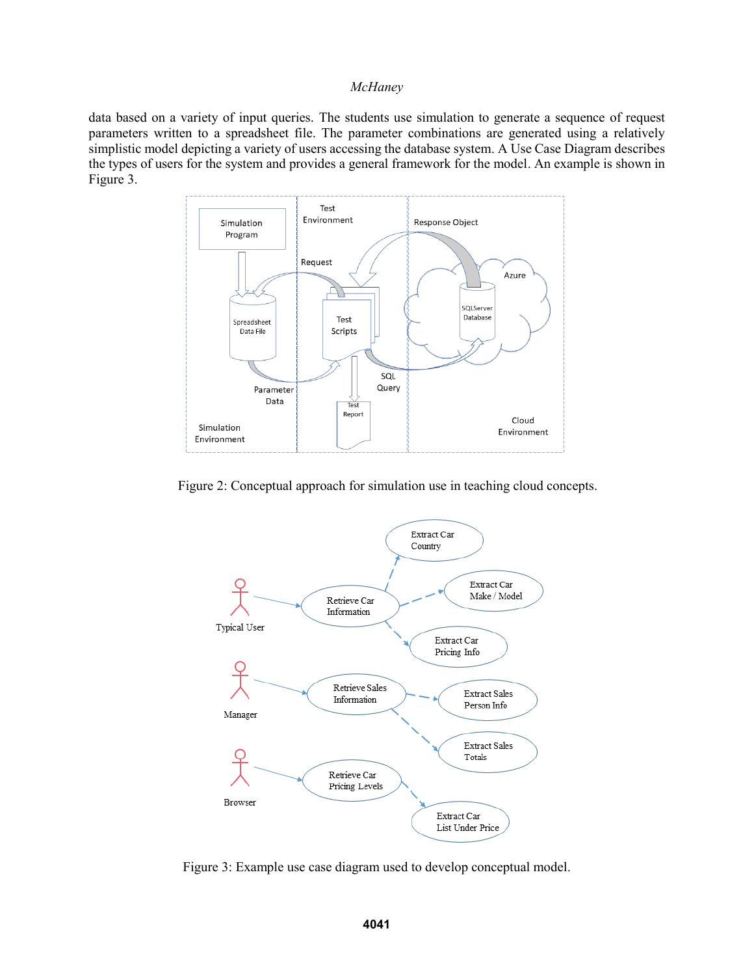data based on a variety of input queries. The students use simulation to generate a sequence of request parameters written to a spreadsheet file. The parameter combinations are generated using a relatively simplistic model depicting a variety of users accessing the database system. A Use Case Diagram describes the types of users for the system and provides a general framework for the model. An example is shown in Figure 3.



Figure 2: Conceptual approach for simulation use in teaching cloud concepts.



Figure 3: Example use case diagram used to develop conceptual model.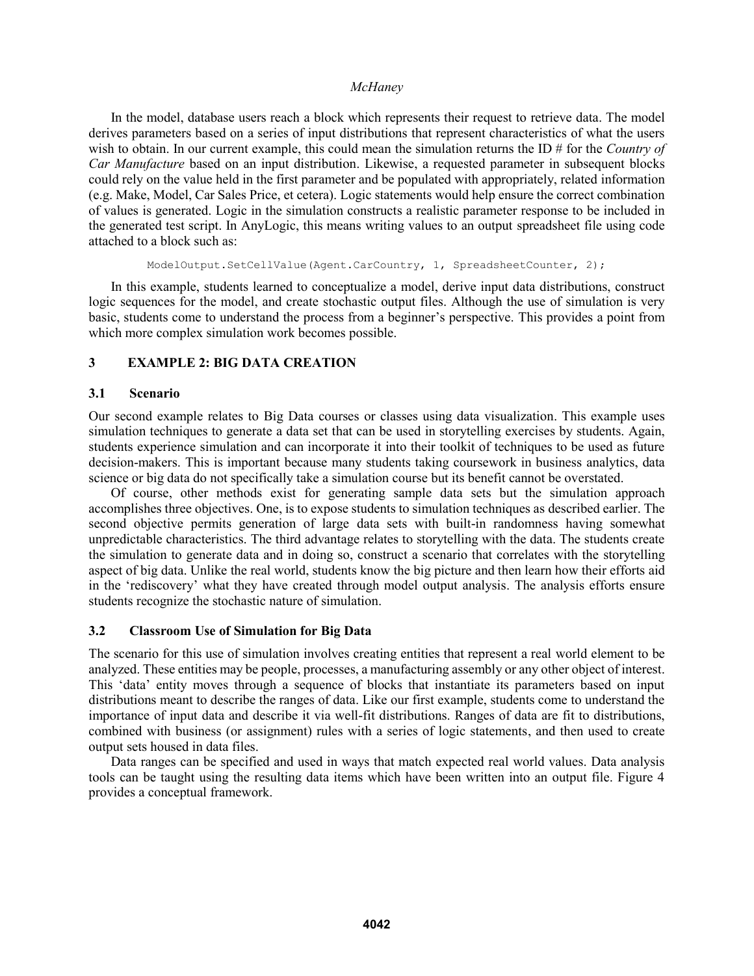In the model, database users reach a block which represents their request to retrieve data. The model derives parameters based on a series of input distributions that represent characteristics of what the users wish to obtain. In our current example, this could mean the simulation returns the ID # for the *Country of Car Manufacture* based on an input distribution. Likewise, a requested parameter in subsequent blocks could rely on the value held in the first parameter and be populated with appropriately, related information (e.g. Make, Model, Car Sales Price, et cetera). Logic statements would help ensure the correct combination of values is generated. Logic in the simulation constructs a realistic parameter response to be included in the generated test script. In AnyLogic, this means writing values to an output spreadsheet file using code attached to a block such as:

ModelOutput.SetCellValue(Agent.CarCountry, 1, SpreadsheetCounter, 2);

In this example, students learned to conceptualize a model, derive input data distributions, construct logic sequences for the model, and create stochastic output files. Although the use of simulation is very basic, students come to understand the process from a beginner's perspective. This provides a point from which more complex simulation work becomes possible.

## **3 EXAMPLE 2: BIG DATA CREATION**

## **3.1 Scenario**

Our second example relates to Big Data courses or classes using data visualization. This example uses simulation techniques to generate a data set that can be used in storytelling exercises by students. Again, students experience simulation and can incorporate it into their toolkit of techniques to be used as future decision-makers. This is important because many students taking coursework in business analytics, data science or big data do not specifically take a simulation course but its benefit cannot be overstated.

Of course, other methods exist for generating sample data sets but the simulation approach accomplishes three objectives. One, is to expose students to simulation techniques as described earlier. The second objective permits generation of large data sets with built-in randomness having somewhat unpredictable characteristics. The third advantage relates to storytelling with the data. The students create the simulation to generate data and in doing so, construct a scenario that correlates with the storytelling aspect of big data. Unlike the real world, students know the big picture and then learn how their efforts aid in the 'rediscovery' what they have created through model output analysis. The analysis efforts ensure students recognize the stochastic nature of simulation.

## **3.2 Classroom Use of Simulation for Big Data**

The scenario for this use of simulation involves creating entities that represent a real world element to be analyzed. These entities may be people, processes, a manufacturing assembly or any other object of interest. This 'data' entity moves through a sequence of blocks that instantiate its parameters based on input distributions meant to describe the ranges of data. Like our first example, students come to understand the importance of input data and describe it via well-fit distributions. Ranges of data are fit to distributions, combined with business (or assignment) rules with a series of logic statements, and then used to create output sets housed in data files.

Data ranges can be specified and used in ways that match expected real world values. Data analysis tools can be taught using the resulting data items which have been written into an output file. Figure 4 provides a conceptual framework.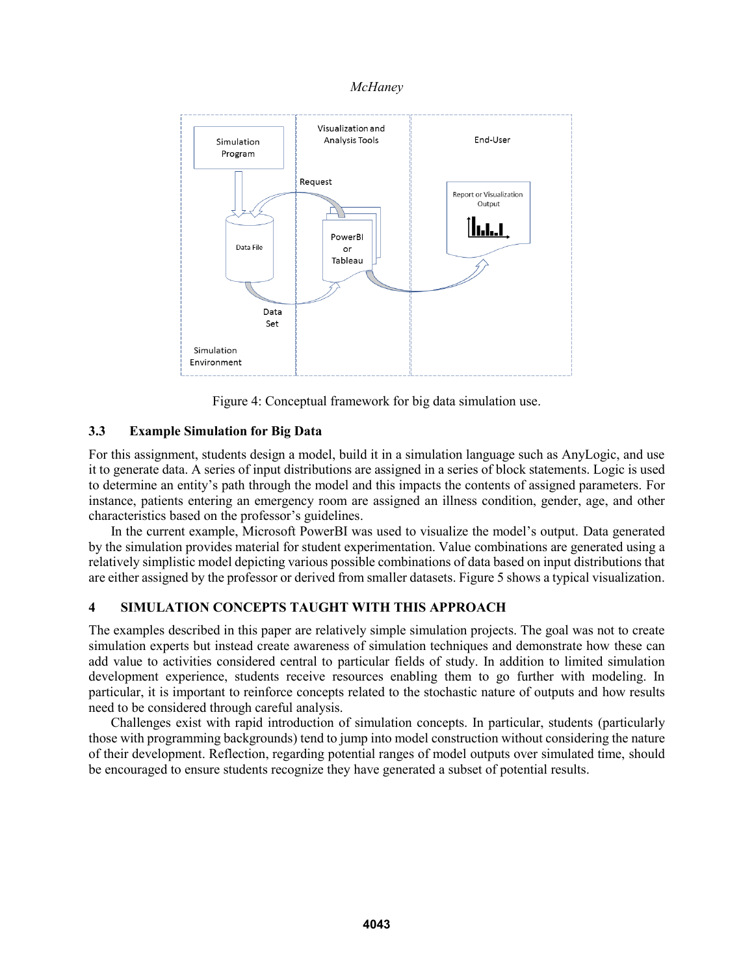

Figure 4: Conceptual framework for big data simulation use.

# **3.3 Example Simulation for Big Data**

For this assignment, students design a model, build it in a simulation language such as AnyLogic, and use it to generate data. A series of input distributions are assigned in a series of block statements. Logic is used to determine an entity's path through the model and this impacts the contents of assigned parameters. For instance, patients entering an emergency room are assigned an illness condition, gender, age, and other characteristics based on the professor's guidelines.

In the current example, Microsoft PowerBI was used to visualize the model's output. Data generated by the simulation provides material for student experimentation. Value combinations are generated using a relatively simplistic model depicting various possible combinations of data based on input distributions that are either assigned by the professor or derived from smaller datasets. Figure 5 shows a typical visualization.

# **4 SIMULATION CONCEPTS TAUGHT WITH THIS APPROACH**

The examples described in this paper are relatively simple simulation projects. The goal was not to create simulation experts but instead create awareness of simulation techniques and demonstrate how these can add value to activities considered central to particular fields of study. In addition to limited simulation development experience, students receive resources enabling them to go further with modeling. In particular, it is important to reinforce concepts related to the stochastic nature of outputs and how results need to be considered through careful analysis.

Challenges exist with rapid introduction of simulation concepts. In particular, students (particularly those with programming backgrounds) tend to jump into model construction without considering the nature of their development. Reflection, regarding potential ranges of model outputs over simulated time, should be encouraged to ensure students recognize they have generated a subset of potential results.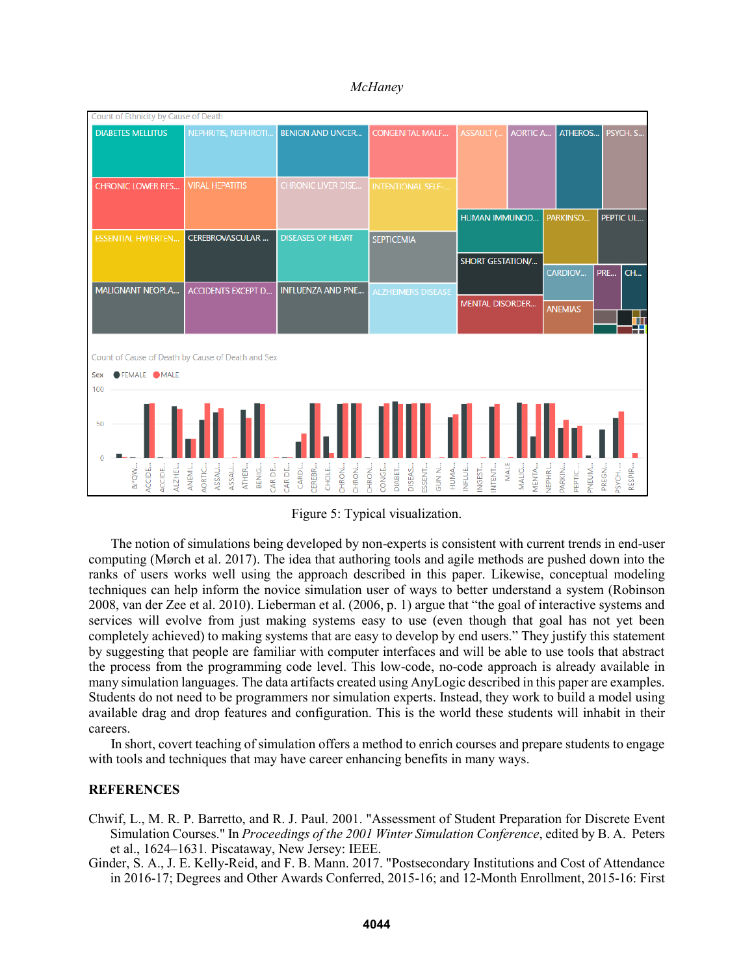

*McHaney*

Figure 5: Typical visualization.

The notion of simulations being developed by non-experts is consistent with current trends in end-user computing (Mørch et al. 2017). The idea that authoring tools and agile methods are pushed down into the ranks of users works well using the approach described in this paper. Likewise, conceptual modeling techniques can help inform the novice simulation user of ways to better understand a system (Robinson 2008, van der Zee et al. 2010). Lieberman et al. (2006, p. 1) argue that "the goal of interactive systems and services will evolve from just making systems easy to use (even though that goal has not yet been completely achieved) to making systems that are easy to develop by end users." They justify this statement by suggesting that people are familiar with computer interfaces and will be able to use tools that abstract the process from the programming code level. This low-code, no-code approach is already available in many simulation languages. The data artifacts created using AnyLogic described in this paper are examples. Students do not need to be programmers nor simulation experts. Instead, they work to build a model using available drag and drop features and configuration. This is the world these students will inhabit in their careers.

In short, covert teaching of simulation offers a method to enrich courses and prepare students to engage with tools and techniques that may have career enhancing benefits in many ways.

## **REFERENCES**

- Chwif, L., M. R. P. Barretto, and R. J. Paul. 2001. "Assessment of Student Preparation for Discrete Event Simulation Courses." In *Proceedings of the 2001 Winter Simulation Conference*, edited by B. A. Peters et al., 1624–1631*.* Piscataway, New Jersey: IEEE.
- Ginder, S. A., J. E. Kelly-Reid, and F. B. Mann. 2017. "Postsecondary Institutions and Cost of Attendance in 2016-17; Degrees and Other Awards Conferred, 2015-16; and 12-Month Enrollment, 2015-16: First